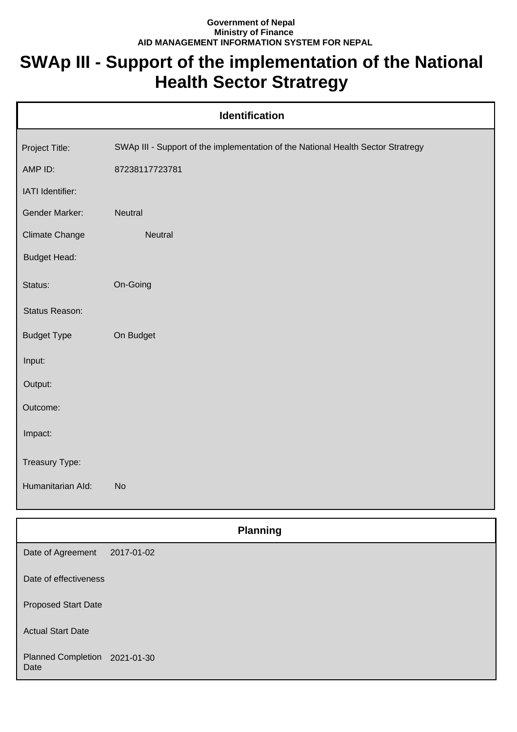## **Government of Nepal Ministry of Finance AID MANAGEMENT INFORMATION SYSTEM FOR NEPAL**

## **SWAp III - Support of the implementation of the National Health Sector Stratregy**

| <b>Identification</b> |                                                                                  |  |
|-----------------------|----------------------------------------------------------------------------------|--|
| Project Title:        | SWAp III - Support of the implementation of the National Health Sector Stratregy |  |
| AMP ID:               | 87238117723781                                                                   |  |
| IATI Identifier:      |                                                                                  |  |
| Gender Marker:        | Neutral                                                                          |  |
| <b>Climate Change</b> | Neutral                                                                          |  |
| <b>Budget Head:</b>   |                                                                                  |  |
| Status:               | On-Going                                                                         |  |
| Status Reason:        |                                                                                  |  |
| <b>Budget Type</b>    | On Budget                                                                        |  |
| Input:                |                                                                                  |  |
| Output:               |                                                                                  |  |
| Outcome:              |                                                                                  |  |
| Impact:               |                                                                                  |  |
| Treasury Type:        |                                                                                  |  |
| Humanitarian Ald:     | <b>No</b>                                                                        |  |
|                       | <b>Planning</b>                                                                  |  |

| Date of Agreement                     | 2017-01-02 |
|---------------------------------------|------------|
| Date of effectiveness                 |            |
| <b>Proposed Start Date</b>            |            |
| <b>Actual Start Date</b>              |            |
| Planned Completion 2021-01-30<br>Date |            |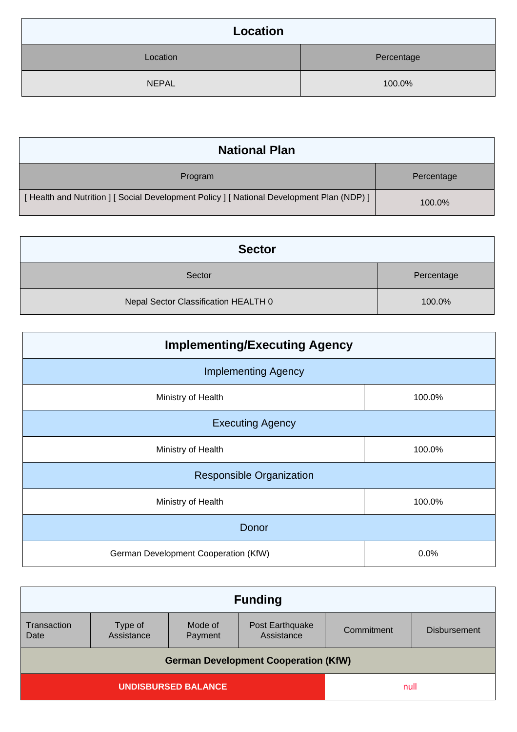| Location     |            |  |
|--------------|------------|--|
| Location     | Percentage |  |
| <b>NEPAL</b> | 100.0%     |  |

| <b>National Plan</b>                                                                    |            |  |
|-----------------------------------------------------------------------------------------|------------|--|
| Program                                                                                 | Percentage |  |
| [Health and Nutrition ] [Social Development Policy ] [National Development Plan (NDP) ] | 100.0%     |  |

| <b>Sector</b>                        |            |  |
|--------------------------------------|------------|--|
| Sector                               | Percentage |  |
| Nepal Sector Classification HEALTH 0 | 100.0%     |  |

| <b>Implementing/Executing Agency</b> |        |  |
|--------------------------------------|--------|--|
| <b>Implementing Agency</b>           |        |  |
| Ministry of Health                   | 100.0% |  |
| <b>Executing Agency</b>              |        |  |
| Ministry of Health                   | 100.0% |  |
| <b>Responsible Organization</b>      |        |  |
| Ministry of Health                   | 100.0% |  |
| Donor                                |        |  |
| German Development Cooperation (KfW) | 0.0%   |  |

| <b>Funding</b>                              |                    |                               |            |                     |
|---------------------------------------------|--------------------|-------------------------------|------------|---------------------|
| Type of<br>Assistance                       | Mode of<br>Payment | Post Earthquake<br>Assistance | Commitment | <b>Disbursement</b> |
| <b>German Development Cooperation (KfW)</b> |                    |                               |            |                     |
| <b>UNDISBURSED BALANCE</b>                  |                    |                               |            |                     |
|                                             |                    |                               |            | null                |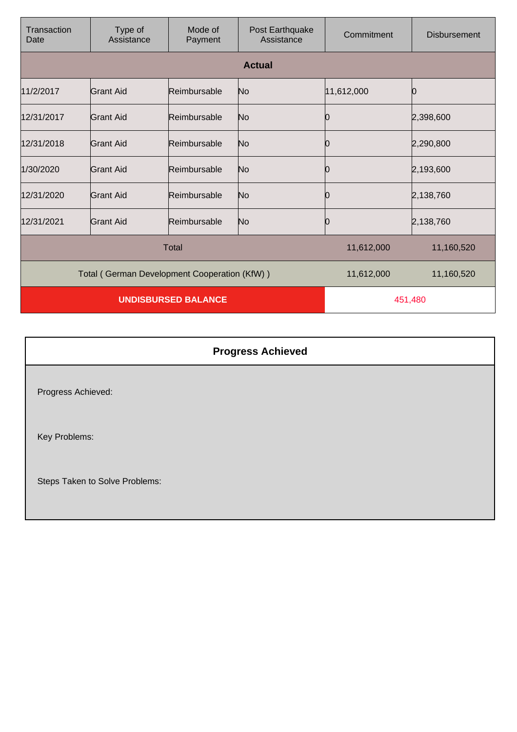| Transaction<br>Date                          | Type of<br>Assistance | Mode of<br>Payment | Post Earthquake<br>Assistance | Commitment | <b>Disbursement</b> |
|----------------------------------------------|-----------------------|--------------------|-------------------------------|------------|---------------------|
|                                              |                       |                    | <b>Actual</b>                 |            |                     |
| 11/2/2017                                    | Grant Aid             | Reimbursable       | No                            | 11,612,000 |                     |
| 12/31/2017                                   | <b>Grant Aid</b>      | Reimbursable       | No                            | 0          | 2,398,600           |
| 12/31/2018                                   | Grant Aid             | Reimbursable       | No                            | 10         | 2,290,800           |
| 1/30/2020                                    | <b>Grant Aid</b>      | Reimbursable       | No                            | 0          | 2,193,600           |
| 12/31/2020                                   | Grant Aid             | Reimbursable       | No                            | 0          | 2,138,760           |
| 12/31/2021                                   | Grant Aid             | Reimbursable       | No                            |            | 2,138,760           |
| Total                                        |                       |                    | 11,612,000                    | 11,160,520 |                     |
| Total (German Development Cooperation (KfW)) |                       |                    | 11,612,000                    | 11,160,520 |                     |
| <b>UNDISBURSED BALANCE</b>                   |                       |                    | 451,480                       |            |                     |

| <b>Progress Achieved</b>       |
|--------------------------------|
| Progress Achieved:             |
| Key Problems:                  |
| Steps Taken to Solve Problems: |